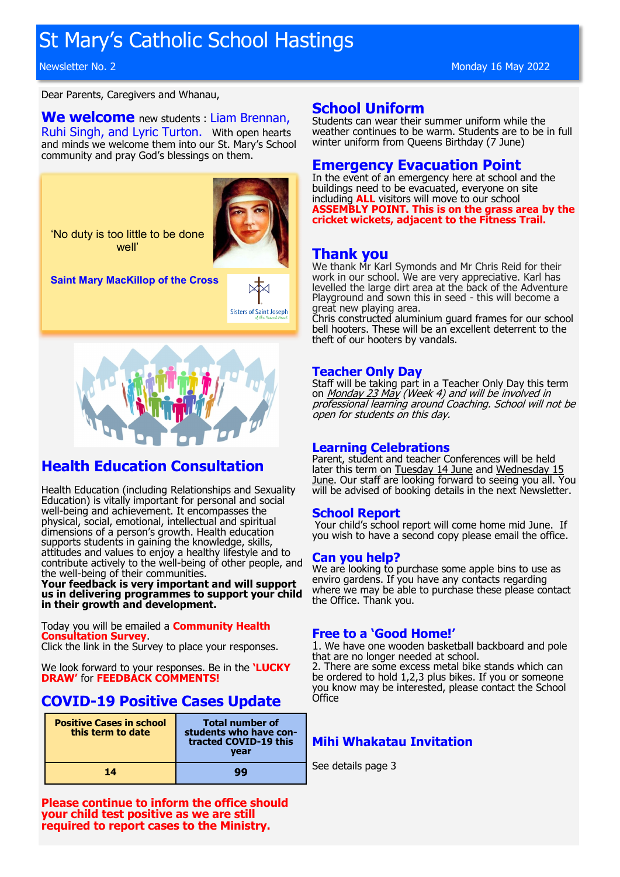# St Mary's Catholic School Hastings

Dear Parents, Caregivers and Whanau,

## **We welcome** new students : Liam Brennan,

Ruhi Singh, and Lyric Turton. With open hearts and minds we welcome them into our St. Mary's School community and pray God's blessings on them.

'No duty is too little to be done well'



**Saint Mary MacKillop of the Cross** 





# **Health Education Consultation**

Health Education (including Relationships and Sexuality Education) is vitally important for personal and social well-being and achievement. It encompasses the physical, social, emotional, intellectual and spiritual dimensions of a person's growth. Health education supports students in gaining the knowledge, skills, attitudes and values to enjoy a healthy lifestyle and to contribute actively to the well-being of other people, and the well-being of their communities.

**Your feedback is very important and will support us in delivering programmes to support your child in their growth and development.**

Today you will be emailed a **Community Health Consultation Survey**.

Click the link in the Survey to place your responses.

We look forward to your responses. Be in the **'LUCKY DRAW'** for **FEEDBACK COMMENTS!**

# **COVID-19 Positive Cases Update**

| <b>Positive Cases in school</b><br>this term to date | <b>Total number of</b><br>students who have con-<br>tracted COVID-19 this<br>vear |
|------------------------------------------------------|-----------------------------------------------------------------------------------|
| 14                                                   | aa                                                                                |

**Please continue to inform the office should your child test positive as we are still required to report cases to the Ministry.**

## **School Uniform**

Students can wear their summer uniform while the weather continues to be warm. Students are to be in full winter uniform from Queens Birthday (7 June)

## **Emergency Evacuation Point**

In the event of an emergency here at school and the buildings need to be evacuated, everyone on site including **ALL** visitors will move to our school **ASSEMBLY POINT. This is on the grass area by the cricket wickets, adjacent to the Fitness Trail.**

## **Thank you**

We thank Mr Karl Symonds and Mr Chris Reid for their work in our school. We are very appreciative. Karl has levelled the large dirt area at the back of the Adventure Playground and sown this in seed - this will become a great new playing area.

Chris constructed aluminium guard frames for our school bell hooters. These will be an excellent deterrent to the theft of our hooters by vandals.

## **Teacher Only Day**

Staff will be taking part in a Teacher Only Day this term on Monday 23 May (Week 4) and will be involved in professional learning around Coaching. School will not be open for students on this day.

## **Learning Celebrations**

Parent, student and teacher Conferences will be held later this term on Tuesday 14 June and Wednesday 15 June. Our staff are looking forward to seeing you all. You will be advised of booking details in the next Newsletter.

## **School Report**

Your child's school report will come home mid June. If you wish to have a second copy please email the office.

## **Can you help?**

We are looking to purchase some apple bins to use as enviro gardens. If you have any contacts regarding where we may be able to purchase these please contact the Office. Thank you.

## **Free to a 'Good Home!'**

1. We have one wooden basketball backboard and pole that are no longer needed at school.

2. There are some excess metal bike stands which can be ordered to hold 1,2,3 plus bikes. If you or someone you know may be interested, please contact the School **Office** 

## **Mihi Whakatau Invitation**

See details page 3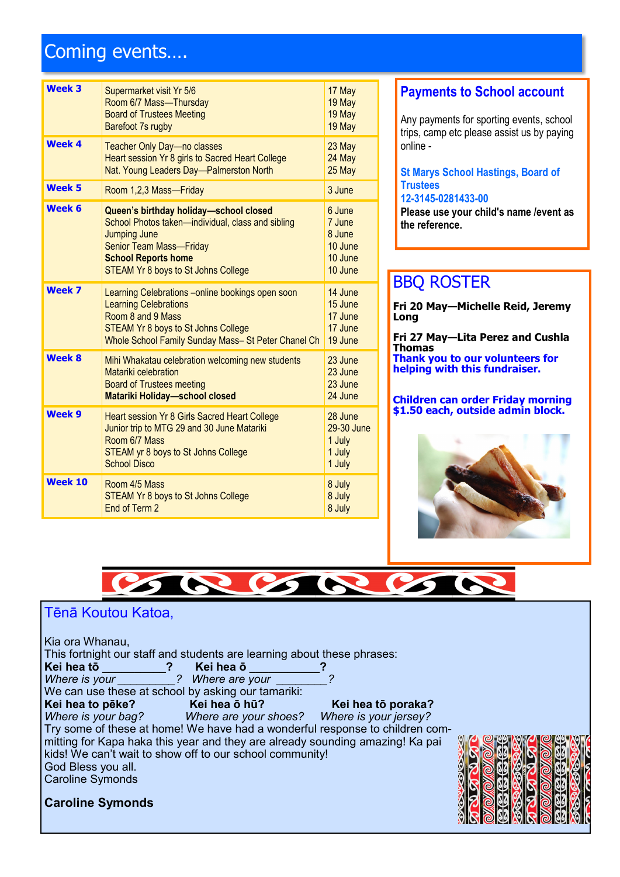# Coming events….

| <b>Week 3</b>  | Supermarket visit Yr 5/6<br>Room 6/7 Mass-Thursday<br><b>Board of Trustees Meeting</b><br>Barefoot 7s rugby                                                                                                                      | 17 May<br>19 May<br>19 May<br>19 May                        |
|----------------|----------------------------------------------------------------------------------------------------------------------------------------------------------------------------------------------------------------------------------|-------------------------------------------------------------|
| <b>Week 4</b>  | <b>Teacher Only Day-no classes</b><br>Heart session Yr 8 girls to Sacred Heart College<br>Nat. Young Leaders Day-Palmerston North                                                                                                | 23 May<br>24 May<br>25 May                                  |
| <b>Week 5</b>  | Room 1,2,3 Mass-Friday                                                                                                                                                                                                           | 3 June                                                      |
| Week 6         | Queen's birthday holiday-school closed<br>School Photos taken-individual, class and sibling<br><b>Jumping June</b><br><b>Senior Team Mass-Friday</b><br><b>School Reports home</b><br><b>STEAM Yr 8 boys to St Johns College</b> | 6 June<br>7 June<br>8 June<br>10 June<br>10 June<br>10 June |
| <b>Week 7</b>  | Learning Celebrations - online bookings open soon<br><b>Learning Celebrations</b><br>Room 8 and 9 Mass<br><b>STEAM Yr 8 boys to St Johns College</b><br>Whole School Family Sunday Mass- St Peter Chanel Ch                      | 14 June<br>15 June<br>17 June<br>17 June<br>19 June         |
| <b>Week 8</b>  | Mihi Whakatau celebration welcoming new students<br>Matariki celebration<br><b>Board of Trustees meeting</b><br><b>Matariki Holiday-school closed</b>                                                                            | 23 June<br>23 June<br>23 June<br>24 June                    |
| Week 9         | Heart session Yr 8 Girls Sacred Heart College<br>Junior trip to MTG 29 and 30 June Matariki<br>Room 6/7 Mass<br><b>STEAM yr 8 boys to St Johns College</b><br>School Disco                                                       | 28 June<br>29-30 June<br>1 July<br>1 July<br>1 July         |
| <b>Week 10</b> | Room 4/5 Mass<br><b>STEAM Yr 8 boys to St Johns College</b><br>End of Term 2                                                                                                                                                     | 8 July<br>8 July<br>8 July                                  |

## **Payments to School account**

Any payments for sporting events, school trips, camp etc please assist us by paying online -

#### **St Marys School Hastings, Board of Trustees 12-3145-0281433-00**

**Please use your child's name /event as the reference.**

# BBQ ROSTER

**Fri 20 May—Michelle Reid, Jeremy Long**

**Fri 27 May—Lita Perez and Cushla Thomas Thank you to our volunteers for helping with this fundraiser.**

**Children can order Friday morning \$1.50 each, outside admin block.**





## Tēnā Koutou Katoa,

Kia ora Whanau,

Caroline Symonds

**Caroline Symonds**

This fortnight our staff and students are learning about these phrases:

| Kei hea tō    | Kei hea ō      |  |
|---------------|----------------|--|
| Where is your | Where are your |  |

| <u><i>IVIIVIVIV YVUI</i></u> |                                                    | <i>VIIIVIV UIV YVUI</i> |  |
|------------------------------|----------------------------------------------------|-------------------------|--|
|                              | We can use these at school by asking our tamariki: |                         |  |

**Kei hea to pēke? Kei hea ō hū? Kei hea tō poraka?**<br> *Where is your bag? Where are your shoes? Where is your jersey? Where is your bag? Where are your shoes? Where is your jersey?* Try some of these at home! We have had a wonderful response to children committing for Kapa haka this year and they are already sounding amazing! Ka pai kids! We can't wait to show off to our school community! God Bless you all.

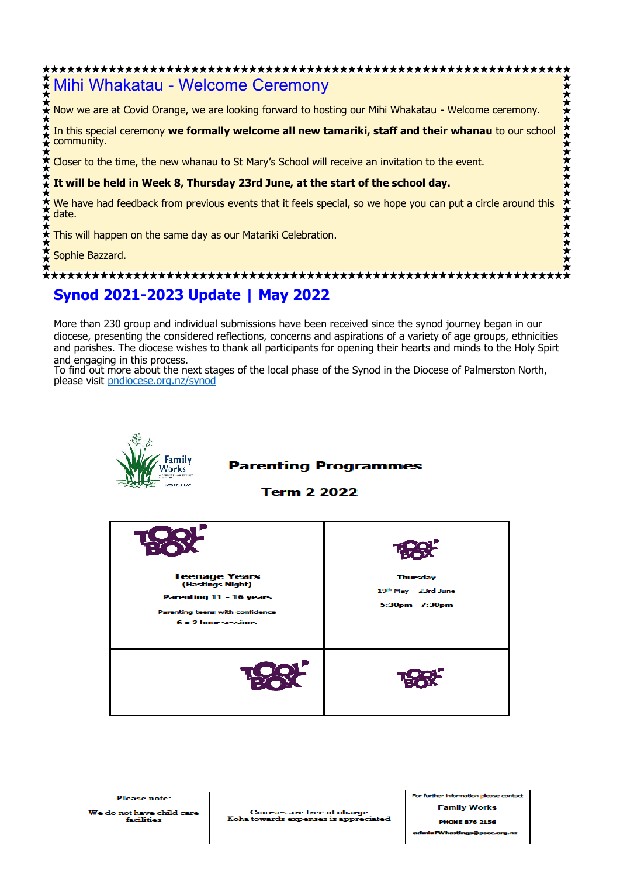# Mihi Whakatau - Welcome Ceremony Now we are at Covid Orange, we are looking forward to hosting our Mihi Whakatau - Welcome ceremony. In this special ceremony **we formally welcome all new tamariki, staff and their whanau** to our school community. Closer to the time, the new whanau to St Mary's School will receive an invitation to the event. **It will be held in Week 8, Thursday 23rd June, at the start of the school day.** We have had feedback from previous events that it feels special, so we hope you can put a circle around this date. This will happen on the same day as our Matariki Celebration. Sophie Bazzard. **Synod 2021-2023 Update | May 2022**

More than 230 group and individual submissions have been received since the synod journey began in our diocese, presenting the considered reflections, concerns and aspirations of a variety of age groups, ethnicities and parishes. The diocese wishes to thank all participants for opening their hearts and minds to the Holy Spirt and engaging in this process.

To find out more about the next stages of the local phase of the Synod in the Diocese of Palmerston North, please visit [pndiocese.org.nz/synod](http://pndiocese.org.nz/synod)



## **Parenting Programmes**

**Term 2 2022** 



For further inform ion pk e cont **Family Works PHONE 876 2156** 

**Please note:** We do not have child care facilities

**Courses are free of charge** Koha towards expenses is appre